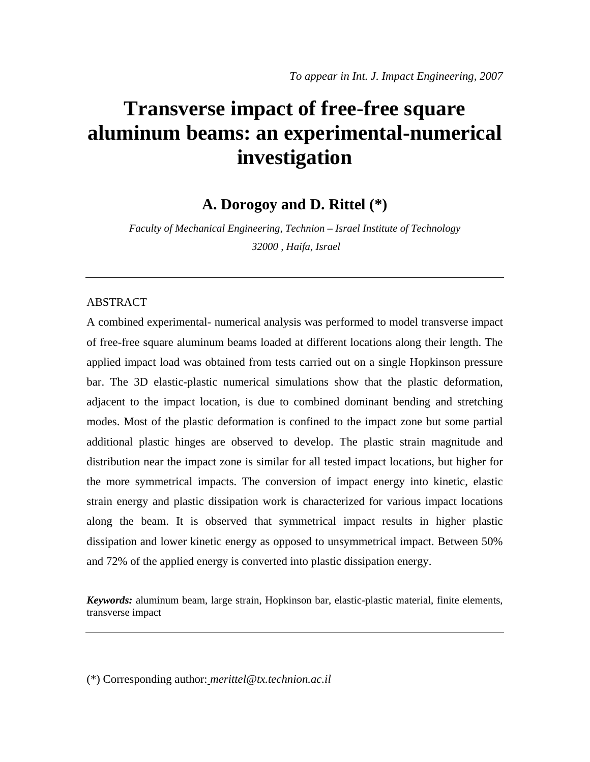# **Transverse impact of free-free square aluminum beams: an experimental-numerical investigation**

**A. Dorogoy and D. Rittel (\*)** 

*Faculty of Mechanical Engineering, Technion – Israel Institute of Technology 32000 , Haifa, Israel* 

#### ABSTRACT

A combined experimental- numerical analysis was performed to model transverse impact of free-free square aluminum beams loaded at different locations along their length. The applied impact load was obtained from tests carried out on a single Hopkinson pressure bar. The 3D elastic-plastic numerical simulations show that the plastic deformation, adjacent to the impact location, is due to combined dominant bending and stretching modes. Most of the plastic deformation is confined to the impact zone but some partial additional plastic hinges are observed to develop. The plastic strain magnitude and distribution near the impact zone is similar for all tested impact locations, but higher for the more symmetrical impacts. The conversion of impact energy into kinetic, elastic strain energy and plastic dissipation work is characterized for various impact locations along the beam. It is observed that symmetrical impact results in higher plastic dissipation and lower kinetic energy as opposed to unsymmetrical impact. Between 50% and 72% of the applied energy is converted into plastic dissipation energy.

*Keywords:* aluminum beam, large strain, Hopkinson bar, elastic-plastic material, finite elements, transverse impact

(\*) Corresponding author: *merittel@tx.technion.ac.il*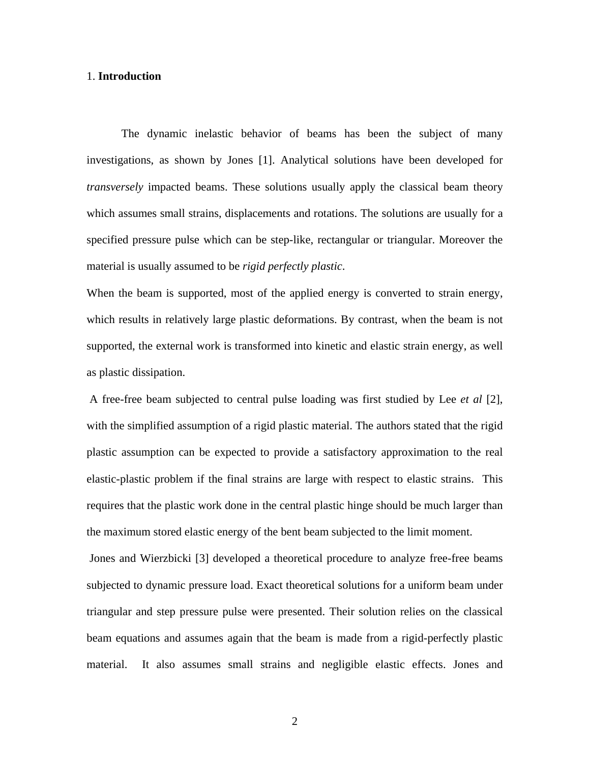#### 1. **Introduction**

The dynamic inelastic behavior of beams has been the subject of many investigations, as shown by Jones [1]. Analytical solutions have been developed for *transversely* impacted beams. These solutions usually apply the classical beam theory which assumes small strains, displacements and rotations. The solutions are usually for a specified pressure pulse which can be step-like, rectangular or triangular. Moreover the material is usually assumed to be *rigid perfectly plastic*.

When the beam is supported, most of the applied energy is converted to strain energy, which results in relatively large plastic deformations. By contrast, when the beam is not supported, the external work is transformed into kinetic and elastic strain energy, as well as plastic dissipation.

 A free-free beam subjected to central pulse loading was first studied by Lee *et al* [2], with the simplified assumption of a rigid plastic material. The authors stated that the rigid plastic assumption can be expected to provide a satisfactory approximation to the real elastic-plastic problem if the final strains are large with respect to elastic strains. This requires that the plastic work done in the central plastic hinge should be much larger than the maximum stored elastic energy of the bent beam subjected to the limit moment.

 Jones and Wierzbicki [3] developed a theoretical procedure to analyze free-free beams subjected to dynamic pressure load. Exact theoretical solutions for a uniform beam under triangular and step pressure pulse were presented. Their solution relies on the classical beam equations and assumes again that the beam is made from a rigid-perfectly plastic material. It also assumes small strains and negligible elastic effects. Jones and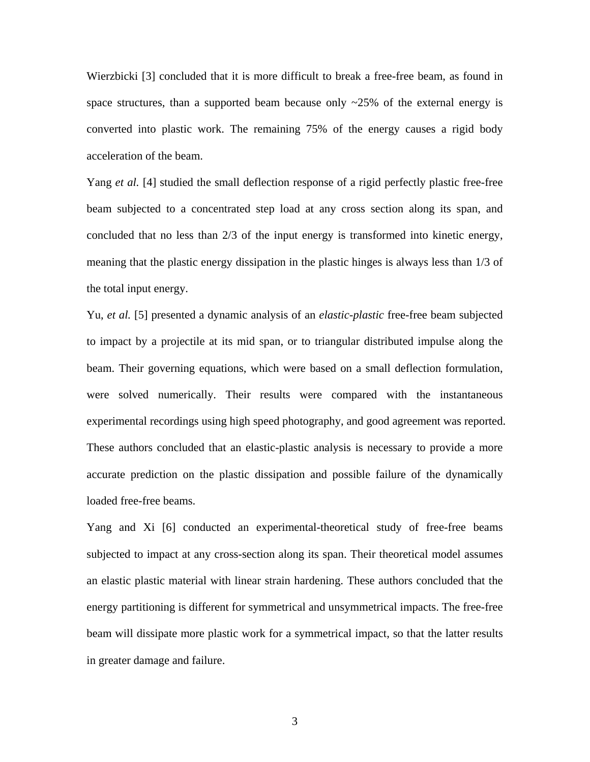Wierzbicki [3] concluded that it is more difficult to break a free-free beam, as found in space structures, than a supported beam because only  $\sim$ 25% of the external energy is converted into plastic work. The remaining 75% of the energy causes a rigid body acceleration of the beam.

Yang *et al.* [4] studied the small deflection response of a rigid perfectly plastic free-free beam subjected to a concentrated step load at any cross section along its span, and concluded that no less than 2/3 of the input energy is transformed into kinetic energy, meaning that the plastic energy dissipation in the plastic hinges is always less than 1/3 of the total input energy.

Yu, *et al.* [5] presented a dynamic analysis of an *elastic-plastic* free-free beam subjected to impact by a projectile at its mid span, or to triangular distributed impulse along the beam. Their governing equations, which were based on a small deflection formulation, were solved numerically. Their results were compared with the instantaneous experimental recordings using high speed photography, and good agreement was reported. These authors concluded that an elastic-plastic analysis is necessary to provide a more accurate prediction on the plastic dissipation and possible failure of the dynamically loaded free-free beams.

Yang and Xi [6] conducted an experimental-theoretical study of free-free beams subjected to impact at any cross-section along its span. Their theoretical model assumes an elastic plastic material with linear strain hardening. These authors concluded that the energy partitioning is different for symmetrical and unsymmetrical impacts. The free-free beam will dissipate more plastic work for a symmetrical impact, so that the latter results in greater damage and failure.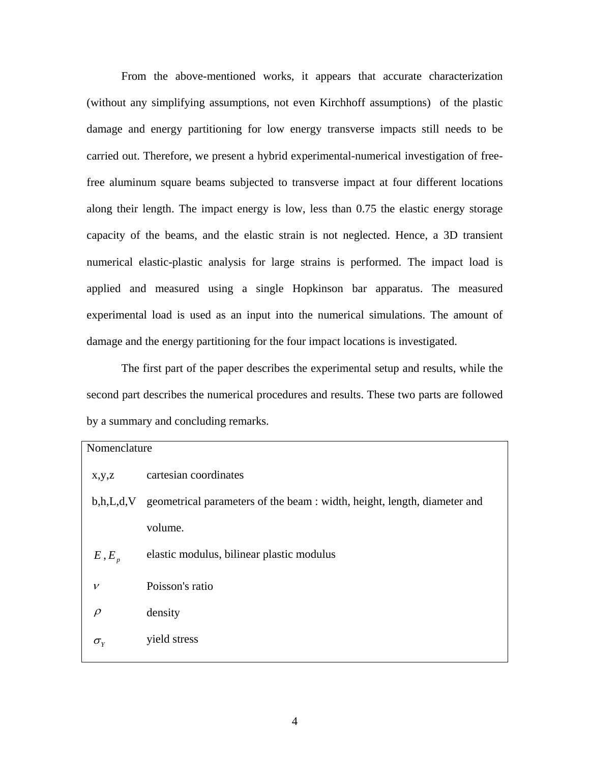From the above-mentioned works, it appears that accurate characterization (without any simplifying assumptions, not even Kirchhoff assumptions) of the plastic damage and energy partitioning for low energy transverse impacts still needs to be carried out. Therefore, we present a hybrid experimental-numerical investigation of freefree aluminum square beams subjected to transverse impact at four different locations along their length. The impact energy is low, less than 0.75 the elastic energy storage capacity of the beams, and the elastic strain is not neglected. Hence, a 3D transient numerical elastic-plastic analysis for large strains is performed. The impact load is applied and measured using a single Hopkinson bar apparatus. The measured experimental load is used as an input into the numerical simulations. The amount of damage and the energy partitioning for the four impact locations is investigated.

The first part of the paper describes the experimental setup and results, while the second part describes the numerical procedures and results. These two parts are followed by a summary and concluding remarks.

| Nomenclature     |                                                                          |
|------------------|--------------------------------------------------------------------------|
| x,y,z            | cartesian coordinates                                                    |
| b, h, L, d, V    | geometrical parameters of the beam : width, height, length, diameter and |
|                  | volume.                                                                  |
| $E$ , $E_p$      | elastic modulus, bilinear plastic modulus                                |
| $\mathcal V$     | Poisson's ratio                                                          |
| $\rho$           | density                                                                  |
| $\sigma_{\rm v}$ | yield stress                                                             |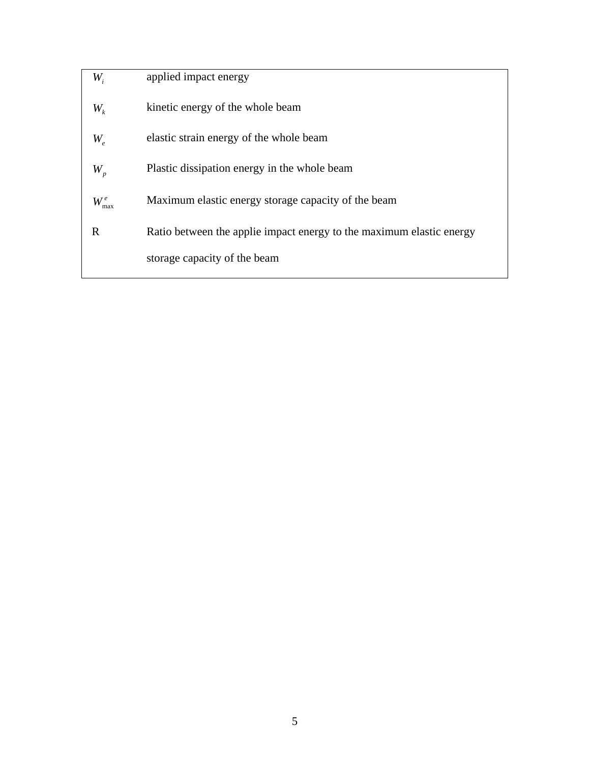| $W_{i}$                    | applied impact energy                                                |
|----------------------------|----------------------------------------------------------------------|
| $W_{\iota}$                | kinetic energy of the whole beam                                     |
| $W_{\scriptscriptstyle e}$ | elastic strain energy of the whole beam                              |
| $W_{p}$                    | Plastic dissipation energy in the whole beam                         |
| $W_{\rm max}^e$            | Maximum elastic energy storage capacity of the beam                  |
| R                          | Ratio between the applie impact energy to the maximum elastic energy |
|                            | storage capacity of the beam                                         |
|                            |                                                                      |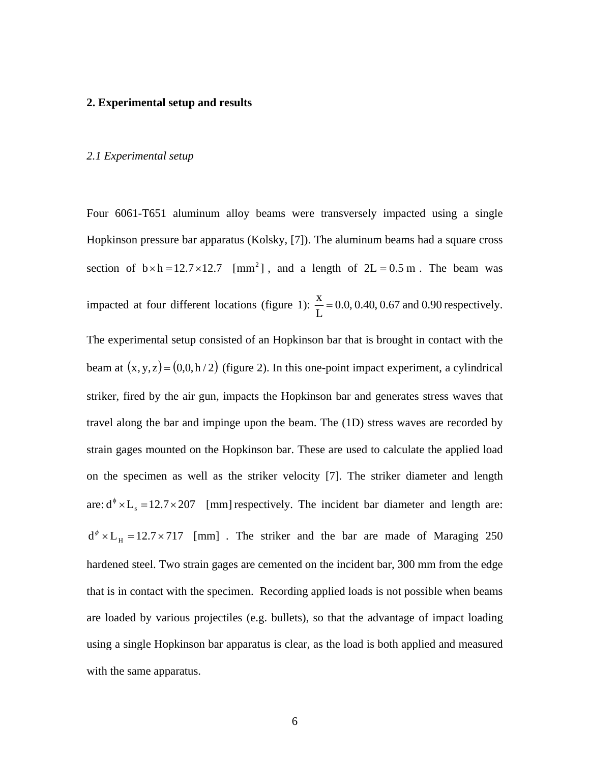#### **2. Experimental setup and results**

#### *2.1 Experimental setup*

Four 6061-T651 aluminum alloy beams were transversely impacted using a single Hopkinson pressure bar apparatus (Kolsky, [7]). The aluminum beams had a square cross section of  $b \times h = 12.7 \times 12.7$  [mm<sup>2</sup>], and a length of  $2L = 0.5$  m. The beam was impacted at four different locations (figure 1):  $\frac{\Delta}{c} = 0.0, 0.40, 0.67$  and 0.90 L  $\frac{x}{x}$  = 0.0, 0.40, 0.67 and 0.90 respectively.

The experimental setup consisted of an Hopkinson bar that is brought in contact with the beam at  $(x, y, z) = (0, 0, h / 2)$  (figure 2). In this one-point impact experiment, a cylindrical striker, fired by the air gun, impacts the Hopkinson bar and generates stress waves that travel along the bar and impinge upon the beam. The (1D) stress waves are recorded by strain gages mounted on the Hopkinson bar. These are used to calculate the applied load on the specimen as well as the striker velocity [7]. The striker diameter and length are:  $d^{\phi} \times L_s = 12.7 \times 207$  [mm] respectively. The incident bar diameter and length are:  $d^{\phi} \times L_{H} = 12.7 \times 717$  [mm]. The striker and the bar are made of Maraging 250 hardened steel. Two strain gages are cemented on the incident bar, 300 mm from the edge that is in contact with the specimen. Recording applied loads is not possible when beams are loaded by various projectiles (e.g. bullets), so that the advantage of impact loading using a single Hopkinson bar apparatus is clear, as the load is both applied and measured with the same apparatus.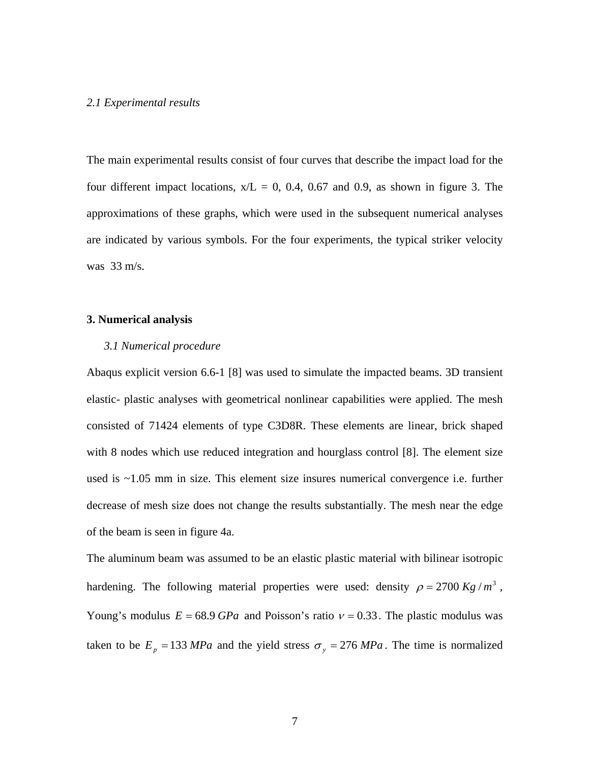#### *2.1 Experimental results*

The main experimental results consist of four curves that describe the impact load for the four different impact locations,  $x/L = 0$ , 0.4, 0.67 and 0.9, as shown in figure 3. The approximations of these graphs, which were used in the subsequent numerical analyses are indicated by various symbols. For the four experiments, the typical striker velocity was 33 m/s.

#### **3. Numerical analysis**

#### *3.1 Numerical procedure*

Abaqus explicit version 6.6-1 [8] was used to simulate the impacted beams. 3D transient elastic- plastic analyses with geometrical nonlinear capabilities were applied. The mesh consisted of 71424 elements of type C3D8R. These elements are linear, brick shaped with 8 nodes which use reduced integration and hourglass control [8]. The element size used is ~1.05 mm in size. This element size insures numerical convergence i.e. further decrease of mesh size does not change the results substantially. The mesh near the edge of the beam is seen in figure 4a.

The aluminum beam was assumed to be an elastic plastic material with bilinear isotropic hardening. The following material properties were used: density  $\rho = 2700 \frac{Kg}{m^3}$ , Young's modulus  $E = 68.9$  *GPa* and Poisson's ratio  $v = 0.33$ . The plastic modulus was taken to be  $E_p = 133 MPa$  and the yield stress  $\sigma_y = 276 MPa$ . The time is normalized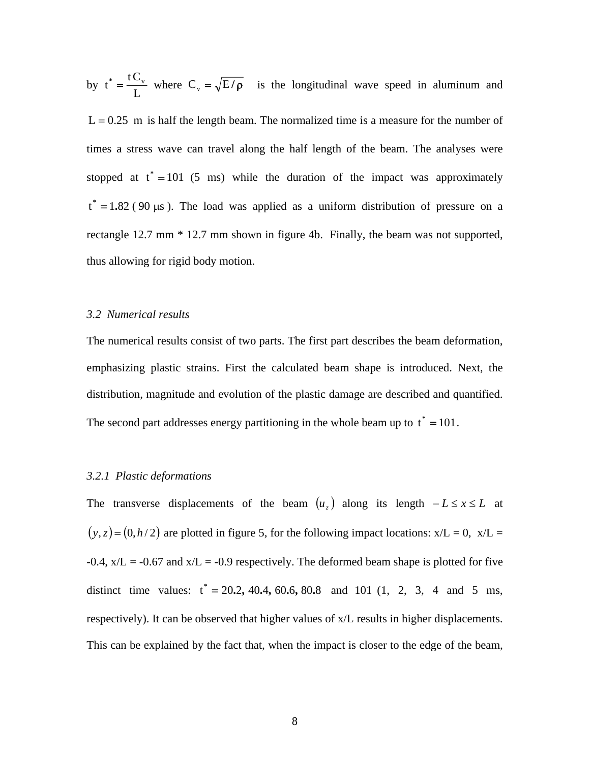by  $t^* = \frac{C}{L}$  $t^* = \frac{tC_v}{t}$  where  $C_v = \sqrt{E/\rho}$  is the longitudinal wave speed in aluminum and  $L = 0.25$  m is half the length beam. The normalized time is a measure for the number of times a stress wave can travel along the half length of the beam. The analyses were stopped at  $t^* = 101$  (5 ms) while the duration of the impact was approximately  $t^* = 1.82$  (90 µs). The load was applied as a uniform distribution of pressure on a rectangle 12.7 mm \* 12.7 mm shown in figure 4b. Finally, the beam was not supported, thus allowing for rigid body motion.

#### *3.2 Numerical results*

The numerical results consist of two parts. The first part describes the beam deformation, emphasizing plastic strains. First the calculated beam shape is introduced. Next, the distribution, magnitude and evolution of the plastic damage are described and quantified. The second part addresses energy partitioning in the whole beam up to  $t^* = 101$ .

#### *3.2.1 Plastic deformations*

The transverse displacements of the beam  $(u<sub>x</sub>)$  along its length  $-L \le x \le L$  at  $(y, z) = (0, h/2)$  are plotted in figure 5, for the following impact locations:  $x/L = 0$ ,  $x/L = 1$  $-0.4$ ,  $x/L = -0.67$  and  $x/L = -0.9$  respectively. The deformed beam shape is plotted for five distinct time values:  $t^* = 20.2, 40.4, 60.6, 80.8$  and 101 (1, 2, 3, 4 and 5 ms, respectively). It can be observed that higher values of x/L results in higher displacements. This can be explained by the fact that, when the impact is closer to the edge of the beam,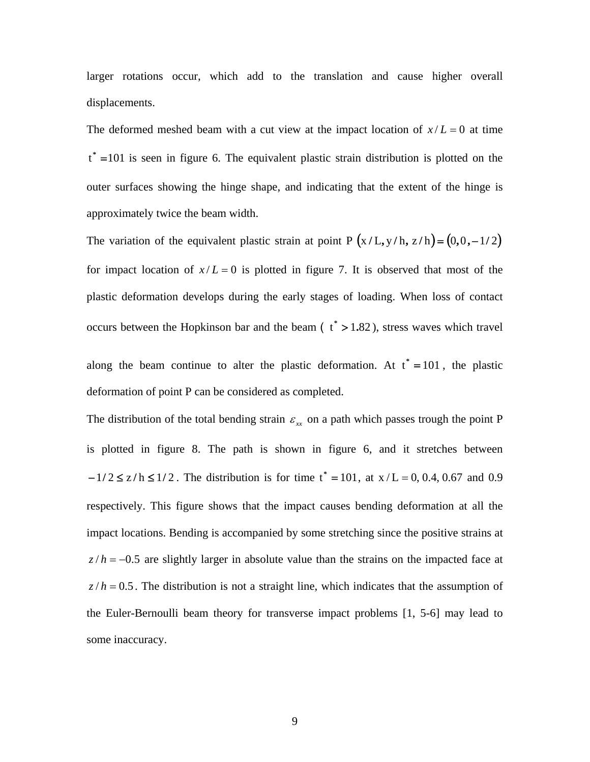larger rotations occur, which add to the translation and cause higher overall displacements.

The deformed meshed beam with a cut view at the impact location of  $x/L = 0$  at time  $t^*$  =101 is seen in figure 6. The equivalent plastic strain distribution is plotted on the outer surfaces showing the hinge shape, and indicating that the extent of the hinge is approximately twice the beam width.

The variation of the equivalent plastic strain at point P  $(x/L, y/h, z/h) = (0, 0, -1/2)$ for impact location of  $x/L = 0$  is plotted in figure 7. It is observed that most of the plastic deformation develops during the early stages of loading. When loss of contact occurs between the Hopkinson bar and the beam  $(t^* > 1.82)$ , stress waves which travel

along the beam continue to alter the plastic deformation. At  $t^* = 101$ , the plastic deformation of point P can be considered as completed.

The distribution of the total bending strain  $\varepsilon_{rr}$  on a path which passes trough the point P is plotted in figure 8. The path is shown in figure 6, and it stretches between  $-1/2 \le z/h \le 1/2$ . The distribution is for time  $t^* = 101$ , at  $x/L = 0$ , 0.4, 0.67 and 0.9 respectively. This figure shows that the impact causes bending deformation at all the impact locations. Bending is accompanied by some stretching since the positive strains at  $z/h = -0.5$  are slightly larger in absolute value than the strains on the impacted face at  $z/h = 0.5$ . The distribution is not a straight line, which indicates that the assumption of the Euler-Bernoulli beam theory for transverse impact problems [1, 5-6] may lead to some inaccuracy.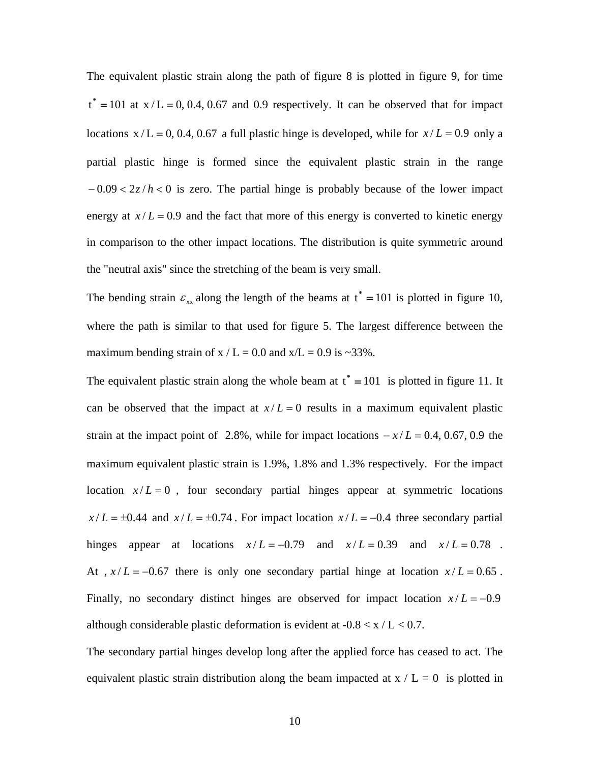The equivalent plastic strain along the path of figure 8 is plotted in figure 9, for time  $t^* = 101$  at  $x/L = 0$ , 0.4, 0.67 and 0.9 respectively. It can be observed that for impact locations  $x / L = 0$ , 0.4, 0.67 a full plastic hinge is developed, while for  $x / L = 0.9$  only a partial plastic hinge is formed since the equivalent plastic strain in the range − 0.09 < 2*z*/ *h* < 0 is zero. The partial hinge is probably because of the lower impact energy at  $x/L = 0.9$  and the fact that more of this energy is converted to kinetic energy in comparison to the other impact locations. The distribution is quite symmetric around the "neutral axis" since the stretching of the beam is very small.

The bending strain  $\varepsilon_{xx}$  along the length of the beams at  $t^* = 101$  is plotted in figure 10, where the path is similar to that used for figure 5. The largest difference between the maximum bending strain of  $x / L = 0.0$  and  $x/L = 0.9$  is ~33%.

The equivalent plastic strain along the whole beam at  $t^* = 101$  is plotted in figure 11. It can be observed that the impact at  $x/L = 0$  results in a maximum equivalent plastic strain at the impact point of 2.8%, while for impact locations  $-x/L = 0.4, 0.67, 0.9$  the maximum equivalent plastic strain is 1.9%, 1.8% and 1.3% respectively. For the impact location  $x/L = 0$ , four secondary partial hinges appear at symmetric locations  $x/L = \pm 0.44$  and  $x/L = \pm 0.74$ . For impact location  $x/L = -0.4$  three secondary partial hinges appear at locations  $x/L = -0.79$  and  $x/L = 0.39$  and  $x/L = 0.78$ . At ,  $x/L = -0.67$  there is only one secondary partial hinge at location  $x/L = 0.65$ . Finally, no secondary distinct hinges are observed for impact location  $x/L = -0.9$ although considerable plastic deformation is evident at  $-0.8 < x / L < 0.7$ .

The secondary partial hinges develop long after the applied force has ceased to act. The equivalent plastic strain distribution along the beam impacted at  $x / L = 0$  is plotted in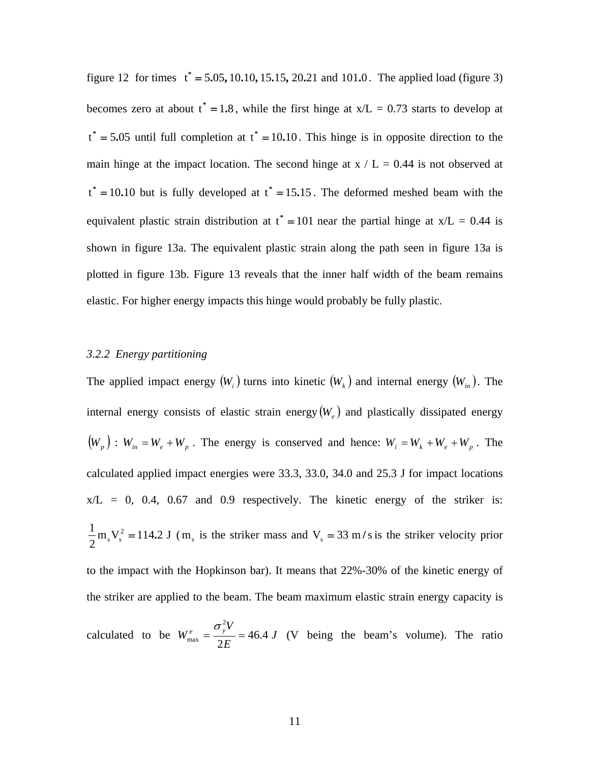figure 12 for times  $t^* = 5.05, 10.10, 15.15, 20.21$  and 101.0. The applied load (figure 3) becomes zero at about  $t^* = 1.8$ , while the first hinge at  $x/L = 0.73$  starts to develop at  $t^* = 5.05$  until full completion at  $t^* = 10.10$ . This hinge is in opposite direction to the main hinge at the impact location. The second hinge at  $x / L = 0.44$  is not observed at  $t^* = 10.10$  but is fully developed at  $t^* = 15.15$ . The deformed meshed beam with the equivalent plastic strain distribution at  $t^* = 101$  near the partial hinge at  $x/L = 0.44$  is shown in figure 13a. The equivalent plastic strain along the path seen in figure 13a is plotted in figure 13b. Figure 13 reveals that the inner half width of the beam remains elastic. For higher energy impacts this hinge would probably be fully plastic.

#### *3.2.2 Energy partitioning*

The applied impact energy  $(W_i)$  turns into kinetic  $(W_k)$  and internal energy  $(W_{i})$ . The internal energy consists of elastic strain energy  $(W_e)$  and plastically dissipated energy  $(W_p)$ :  $W_{in} = W_e + W_p$ . The energy is conserved and hence:  $W_i = W_k + W_e + W_p$ . The calculated applied impact energies were 33.3, 33.0, 34.0 and 25.3 J for impact locations  $x/L = 0$ , 0.4, 0.67 and 0.9 respectively. The kinetic energy of the striker is:  $m_s V_s^2 = 114.2$  J 2  $\frac{1}{2}$  m<sub>s</sub> V<sub>s</sub><sup>2</sup> = 114.2 J (m<sub>s</sub> is the striker mass and V<sub>s</sub> = 33 m/s is the striker velocity prior to the impact with the Hopkinson bar). It means that 22%-30% of the kinetic energy of the striker are applied to the beam. The beam maximum elastic strain energy capacity is calculated to be  $W_{\text{max}}^e = \frac{y}{2} = 46.4 \text{ J}$ *E*  $W_{\text{max}}^e = \frac{\sigma_y^2 V}{2.7} = 46.4$ 2  $\frac{e}{2\pi} = \frac{\sigma_y^2 V}{2E} = 46.4 J$  (V being the beam's volume). The ratio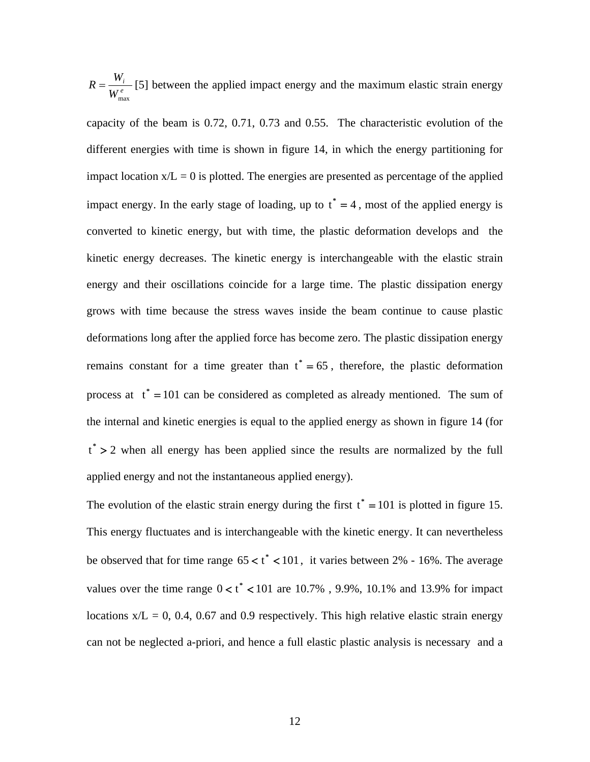*e i W*  $R = \frac{W_i}{m}$  [5] between the applied impact energy and the maximum elastic strain energy max

capacity of the beam is 0.72, 0.71, 0.73 and 0.55. The characteristic evolution of the different energies with time is shown in figure 14, in which the energy partitioning for impact location  $x/L = 0$  is plotted. The energies are presented as percentage of the applied impact energy. In the early stage of loading, up to  $t^* = 4$ , most of the applied energy is converted to kinetic energy, but with time, the plastic deformation develops and the kinetic energy decreases. The kinetic energy is interchangeable with the elastic strain energy and their oscillations coincide for a large time. The plastic dissipation energy grows with time because the stress waves inside the beam continue to cause plastic deformations long after the applied force has become zero. The plastic dissipation energy remains constant for a time greater than  $t^* = 65$ , therefore, the plastic deformation process at  $t^* = 101$  can be considered as completed as already mentioned. The sum of the internal and kinetic energies is equal to the applied energy as shown in figure 14 (for  $t^* > 2$  when all energy has been applied since the results are normalized by the full applied energy and not the instantaneous applied energy).

The evolution of the elastic strain energy during the first  $t^* = 101$  is plotted in figure 15. This energy fluctuates and is interchangeable with the kinetic energy. It can nevertheless be observed that for time range  $65 < t^* < 101$ , it varies between 2% - 16%. The average values over the time range  $0 < t^*$  < 101 are 10.7%, 9.9%, 10.1% and 13.9% for impact locations  $x/L = 0$ , 0.4, 0.67 and 0.9 respectively. This high relative elastic strain energy can not be neglected a-priori, and hence a full elastic plastic analysis is necessary and a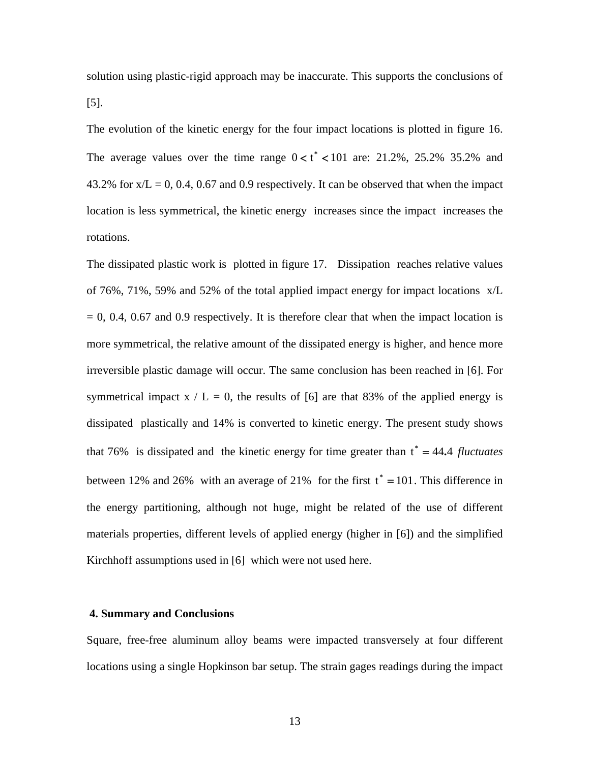solution using plastic-rigid approach may be inaccurate. This supports the conclusions of [5].

The evolution of the kinetic energy for the four impact locations is plotted in figure 16. The average values over the time range  $0 < t^* < 101$  are: 21.2%, 25.2% 35.2% and 43.2% for  $x/L = 0$ , 0.4, 0.67 and 0.9 respectively. It can be observed that when the impact location is less symmetrical, the kinetic energy increases since the impact increases the rotations.

The dissipated plastic work is plotted in figure 17. Dissipation reaches relative values of 76%, 71%, 59% and 52% of the total applied impact energy for impact locations x/L  $= 0, 0.4, 0.67$  and 0.9 respectively. It is therefore clear that when the impact location is more symmetrical, the relative amount of the dissipated energy is higher, and hence more irreversible plastic damage will occur. The same conclusion has been reached in [6]. For symmetrical impact  $x / L = 0$ , the results of [6] are that 83% of the applied energy is dissipated plastically and 14% is converted to kinetic energy. The present study shows that 76% is dissipated and the kinetic energy for time greater than  $t^* = 44.4$  *fluctuates* between 12% and 26% with an average of 21% for the first  $t^* = 101$ . This difference in the energy partitioning, although not huge, might be related of the use of different materials properties, different levels of applied energy (higher in [6]) and the simplified Kirchhoff assumptions used in [6] which were not used here.

#### **4. Summary and Conclusions**

Square, free-free aluminum alloy beams were impacted transversely at four different locations using a single Hopkinson bar setup. The strain gages readings during the impact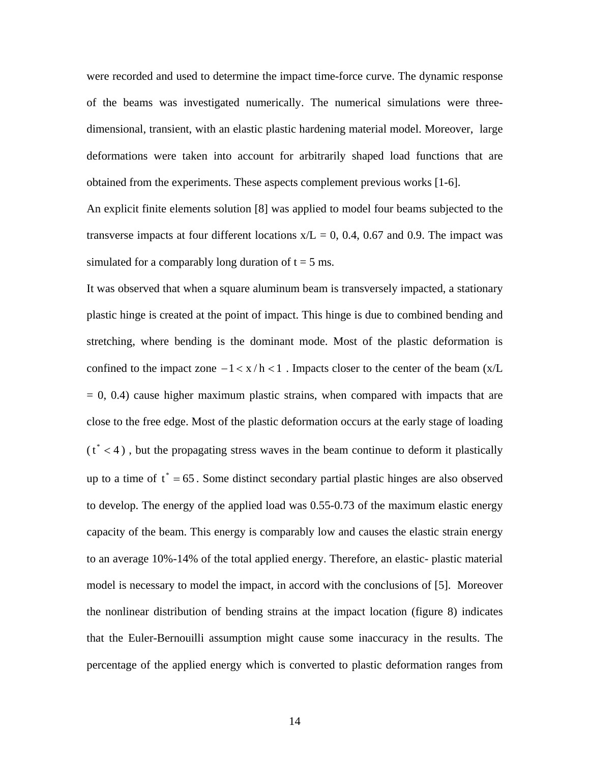were recorded and used to determine the impact time-force curve. The dynamic response of the beams was investigated numerically. The numerical simulations were threedimensional, transient, with an elastic plastic hardening material model. Moreover, large deformations were taken into account for arbitrarily shaped load functions that are obtained from the experiments. These aspects complement previous works [1-6].

An explicit finite elements solution [8] was applied to model four beams subjected to the transverse impacts at four different locations  $x/L = 0$ , 0.4, 0.67 and 0.9. The impact was simulated for a comparably long duration of  $t = 5$  ms.

It was observed that when a square aluminum beam is transversely impacted, a stationary plastic hinge is created at the point of impact. This hinge is due to combined bending and stretching, where bending is the dominant mode. Most of the plastic deformation is confined to the impact zone  $-1 < x/h < 1$ . Impacts closer to the center of the beam (x/L  $= 0, 0.4$ ) cause higher maximum plastic strains, when compared with impacts that are close to the free edge. Most of the plastic deformation occurs at the early stage of loading  $(t^* < 4)$ , but the propagating stress waves in the beam continue to deform it plastically up to a time of  $t^* = 65$ . Some distinct secondary partial plastic hinges are also observed to develop. The energy of the applied load was 0.55-0.73 of the maximum elastic energy capacity of the beam. This energy is comparably low and causes the elastic strain energy to an average 10%-14% of the total applied energy. Therefore, an elastic- plastic material model is necessary to model the impact, in accord with the conclusions of [5]. Moreover the nonlinear distribution of bending strains at the impact location (figure 8) indicates that the Euler-Bernouilli assumption might cause some inaccuracy in the results. The percentage of the applied energy which is converted to plastic deformation ranges from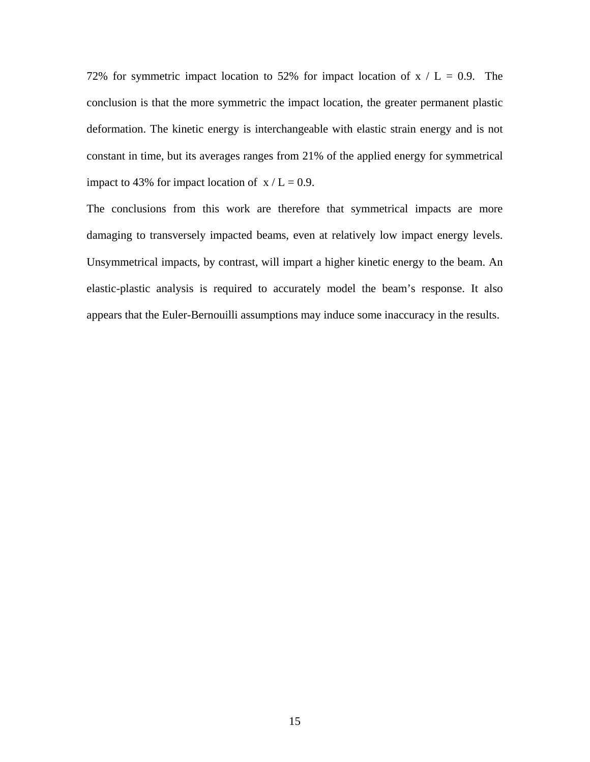72% for symmetric impact location to 52% for impact location of  $x / L = 0.9$ . The conclusion is that the more symmetric the impact location, the greater permanent plastic deformation. The kinetic energy is interchangeable with elastic strain energy and is not constant in time, but its averages ranges from 21% of the applied energy for symmetrical impact to 43% for impact location of  $x/L = 0.9$ .

The conclusions from this work are therefore that symmetrical impacts are more damaging to transversely impacted beams, even at relatively low impact energy levels. Unsymmetrical impacts, by contrast, will impart a higher kinetic energy to the beam. An elastic-plastic analysis is required to accurately model the beam's response. It also appears that the Euler-Bernouilli assumptions may induce some inaccuracy in the results.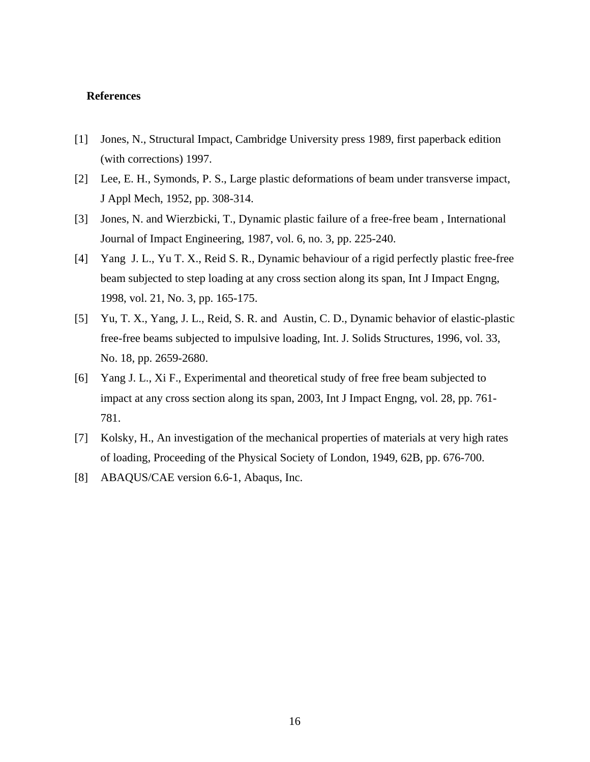#### **References**

- [1] Jones, N., Structural Impact, Cambridge University press 1989, first paperback edition (with corrections) 1997.
- [2] Lee, E. H., Symonds, P. S., Large plastic deformations of beam under transverse impact, J Appl Mech, 1952, pp. 308-314.
- [3] Jones, N. and Wierzbicki, T., Dynamic plastic failure of a free-free beam , International Journal of Impact Engineering, 1987, vol. 6, no. 3, pp. 225-240.
- [4] Yang J. L., Yu T. X., Reid S. R., Dynamic behaviour of a rigid perfectly plastic free-free beam subjected to step loading at any cross section along its span, Int J Impact Engng, 1998, vol. 21, No. 3, pp. 165-175.
- [5] Yu, T. X., Yang, J. L., Reid, S. R. and Austin, C. D., Dynamic behavior of elastic-plastic free-free beams subjected to impulsive loading, Int. J. Solids Structures, 1996, vol. 33, No. 18, pp. 2659-2680.
- [6] Yang J. L., Xi F., Experimental and theoretical study of free free beam subjected to impact at any cross section along its span, 2003, Int J Impact Engng, vol. 28, pp. 761- 781.
- [7] Kolsky, H., An investigation of the mechanical properties of materials at very high rates of loading, Proceeding of the Physical Society of London, 1949, 62B, pp. 676-700.
- [8] ABAQUS/CAE version 6.6-1, Abaqus, Inc.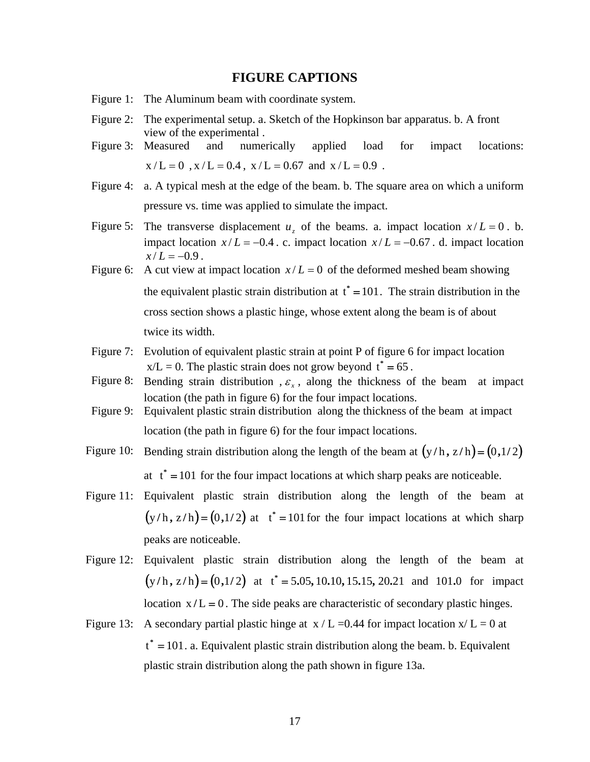#### **FIGURE CAPTIONS**

- Figure 1: The Aluminum beam with coordinate system.
- Figure 2: The experimental setup. a. Sketch of the Hopkinson bar apparatus. b. A front view of the experimental .
- Figure 3: Measured and numerically applied load for impact locations:  $x/L = 0$ ,  $x/L = 0.4$ ,  $x/L = 0.67$  and  $x/L = 0.9$ .
- Figure 4: a. A typical mesh at the edge of the beam. b. The square area on which a uniform pressure vs. time was applied to simulate the impact.
- Figure 5: The transverse displacement  $u<sub>z</sub>$  of the beams. a. impact location  $x/L = 0$ . b. impact location  $x/L = -0.4$ . c. impact location  $x/L = -0.67$ . d. impact location  $x/L = -0.9$ .
- Figure 6: A cut view at impact location  $x/L = 0$  of the deformed meshed beam showing the equivalent plastic strain distribution at  $t^* = 101$ . The strain distribution in the cross section shows a plastic hinge, whose extent along the beam is of about twice its width.
- Figure 7: Evolution of equivalent plastic strain at point P of figure 6 for impact location  $x/L = 0$ . The plastic strain does not grow beyond  $t^* = 65$ .
- Figure 8: Bending strain distribution ,  $\varepsilon$ <sub>x</sub>, along the thickness of the beam at impact location (the path in figure 6) for the four impact locations.
- Figure 9: Equivalent plastic strain distribution along the thickness of the beam at impact location (the path in figure 6) for the four impact locations.
- Figure 10: Bending strain distribution along the length of the beam at  $(y/h, z/h) = (0,1/2)$ at  $t^* = 101$  for the four impact locations at which sharp peaks are noticeable.
- Figure 11: Equivalent plastic strain distribution along the length of the beam at  $(y/h, z/h) = (0,1/2)$  at  $t^* = 101$  for the four impact locations at which sharp peaks are noticeable.
- Figure 12: Equivalent plastic strain distribution along the length of the beam at  $(y/h, z/h) = (0, 1/2)$  at  $t^* = 5.05, 10.10, 15.15, 20.21$  and 101.0 for impact location  $x/L = 0$ . The side peaks are characteristic of secondary plastic hinges.
- Figure 13: A secondary partial plastic hinge at  $x / L = 0.44$  for impact location  $x / L = 0$  at  $t^* = 101$ . a. Equivalent plastic strain distribution along the beam. b. Equivalent plastic strain distribution along the path shown in figure 13a.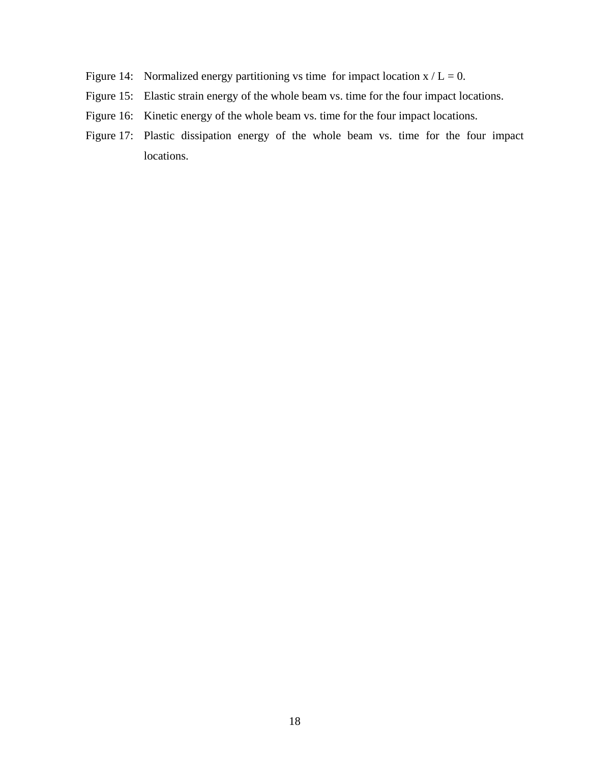- Figure 14: Normalized energy partitioning vs time for impact location  $x / L = 0$ .
- Figure 15: Elastic strain energy of the whole beam vs. time for the four impact locations.
- Figure 16: Kinetic energy of the whole beam vs. time for the four impact locations.
- Figure 17: Plastic dissipation energy of the whole beam vs. time for the four impact locations.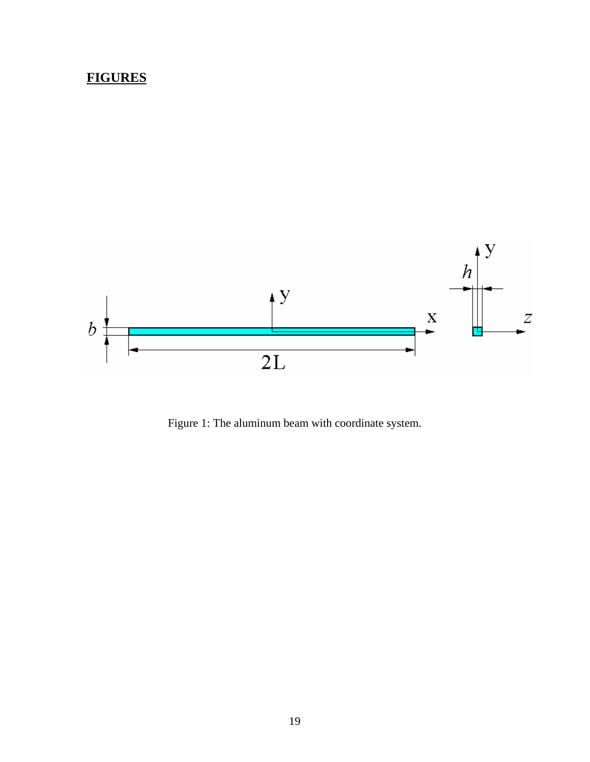## **FIGURES**



Figure 1: The aluminum beam with coordinate system.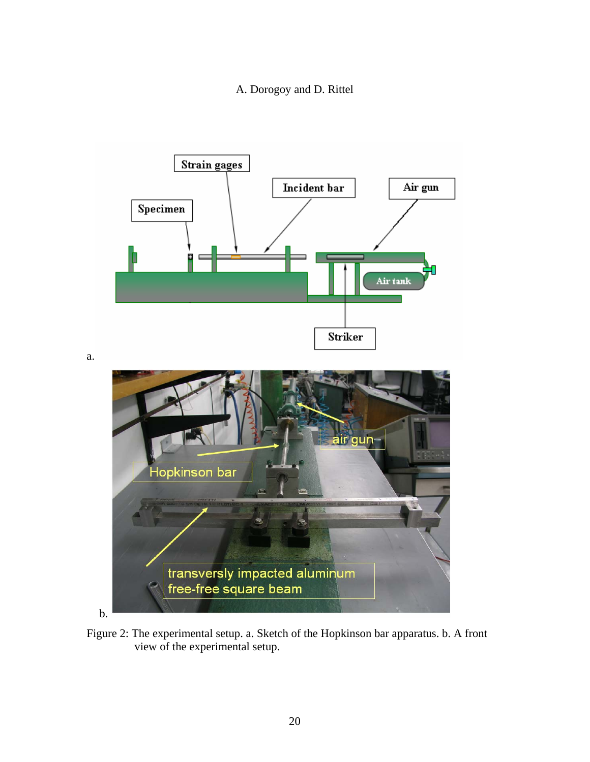A. Dorogoy and D. Rittel



Figure 2: The experimental setup. a. Sketch of the Hopkinson bar apparatus. b. A front view of the experimental setup.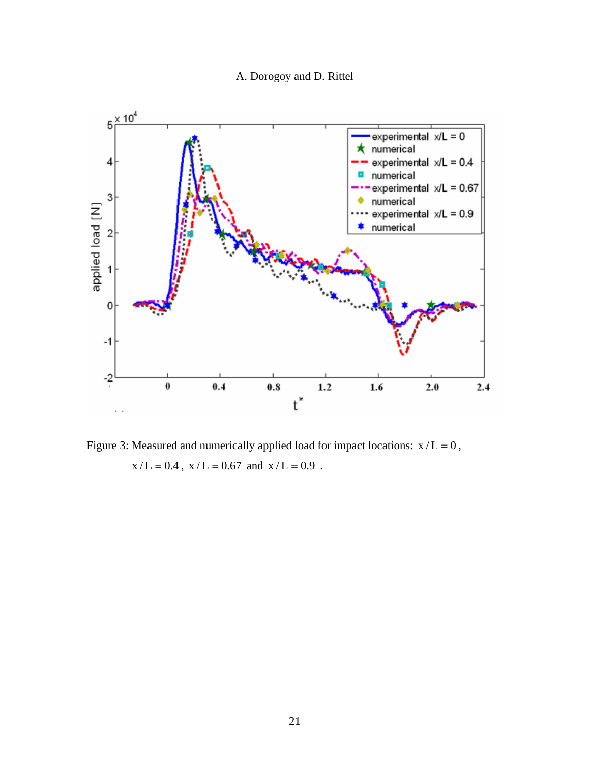A. Dorogoy and D. Rittel



Figure 3: Measured and numerically applied load for impact locations:  $x/L = 0$ ,  $x/L = 0.4$ ,  $x/L = 0.67$  and  $x/L = 0.9$ .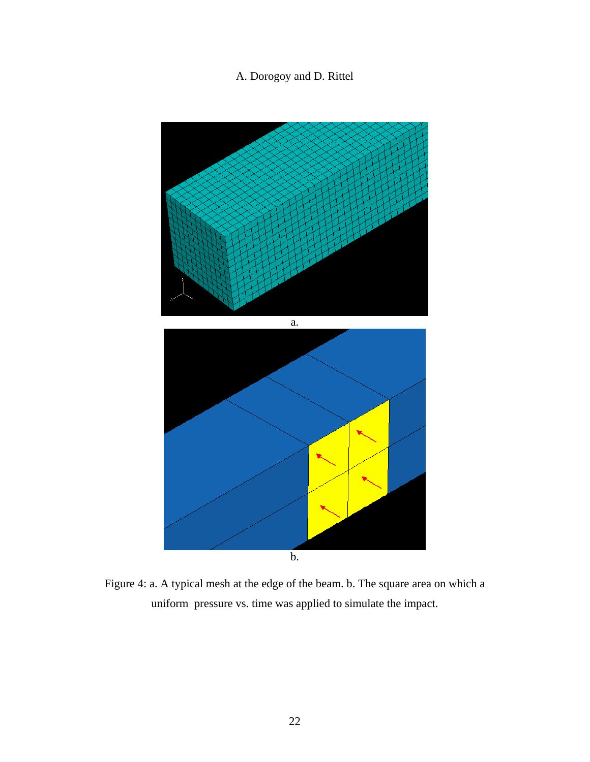

Figure 4: a. A typical mesh at the edge of the beam. b. The square area on which a uniform pressure vs. time was applied to simulate the impact.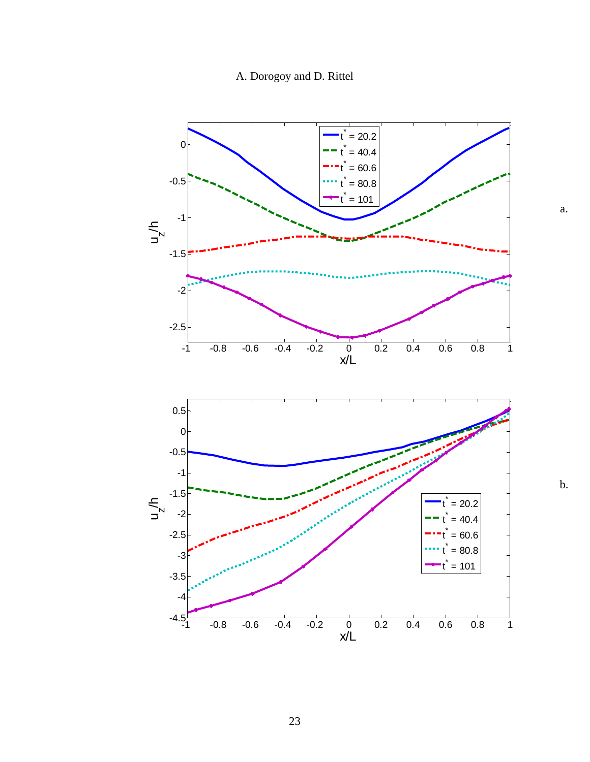A. Dorogoy and D. Rittel



b.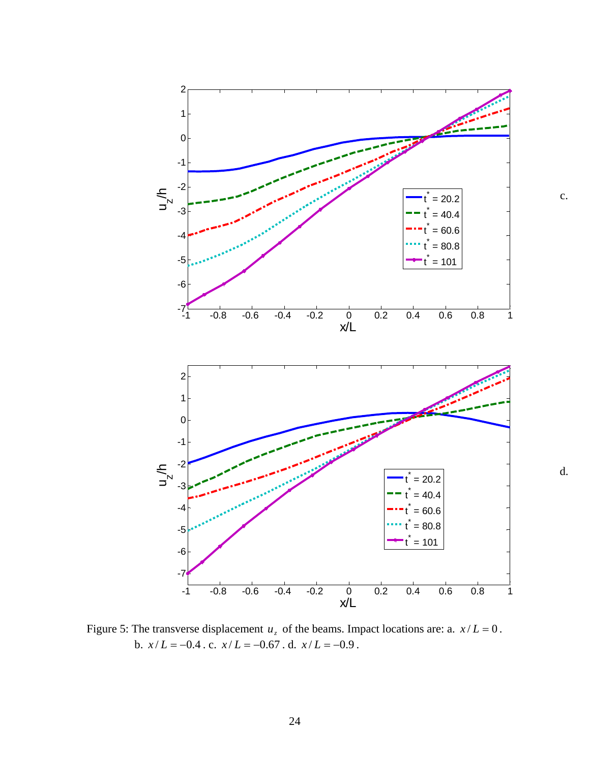

Figure 5: The transverse displacement  $u_z$  of the beams. Impact locations are: a.  $x/L = 0$ . b.  $x/L = -0.4$ . c.  $x/L = -0.67$ . d.  $x/L = -0.9$ .

d.

c.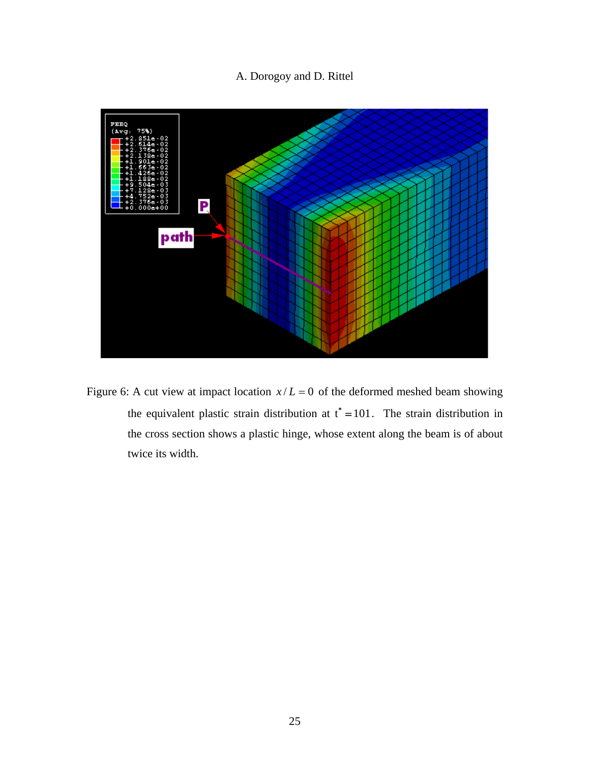

Figure 6: A cut view at impact location  $x/L = 0$  of the deformed meshed beam showing the equivalent plastic strain distribution at  $t^* = 101$ . The strain distribution in the cross section shows a plastic hinge, whose extent along the beam is of about twice its width.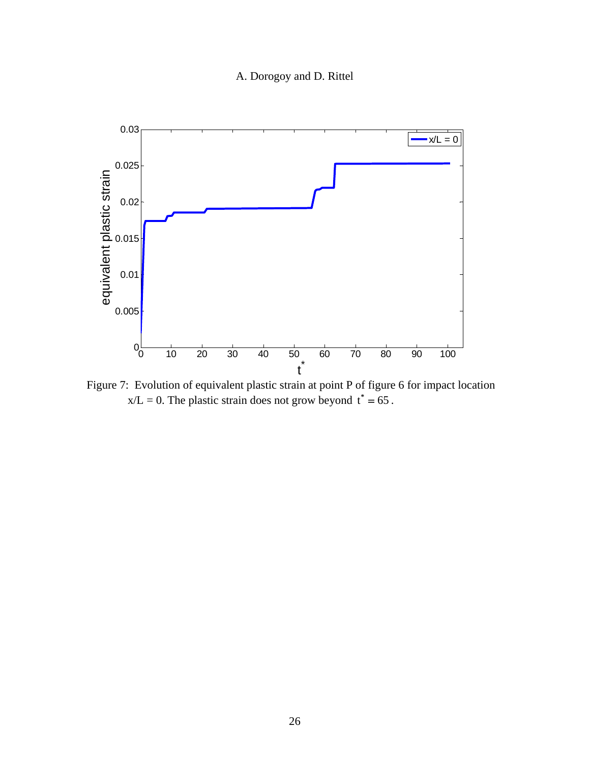

Figure 7: Evolution of equivalent plastic strain at point P of figure 6 for impact location  $x/L = 0$ . The plastic strain does not grow beyond  $t^* = 65$ .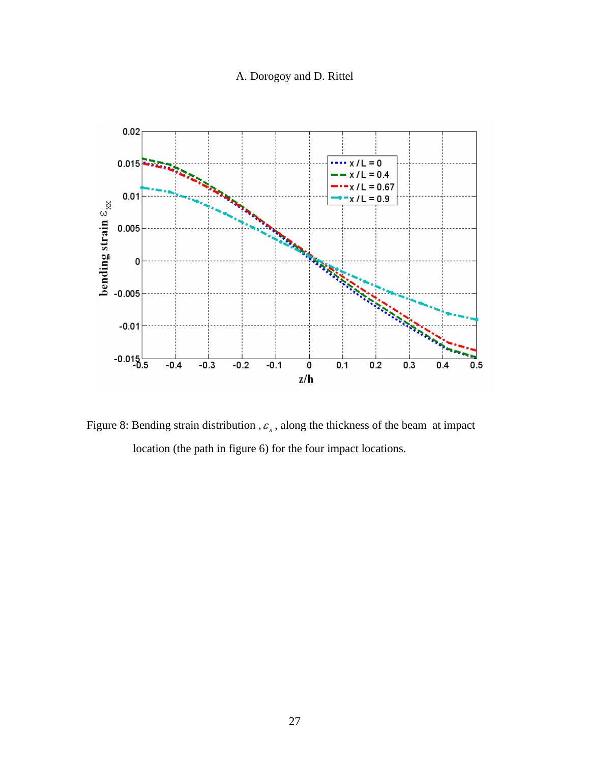

Figure 8: Bending strain distribution ,  $\varepsilon_x$ , along the thickness of the beam at impact location (the path in figure 6) for the four impact locations.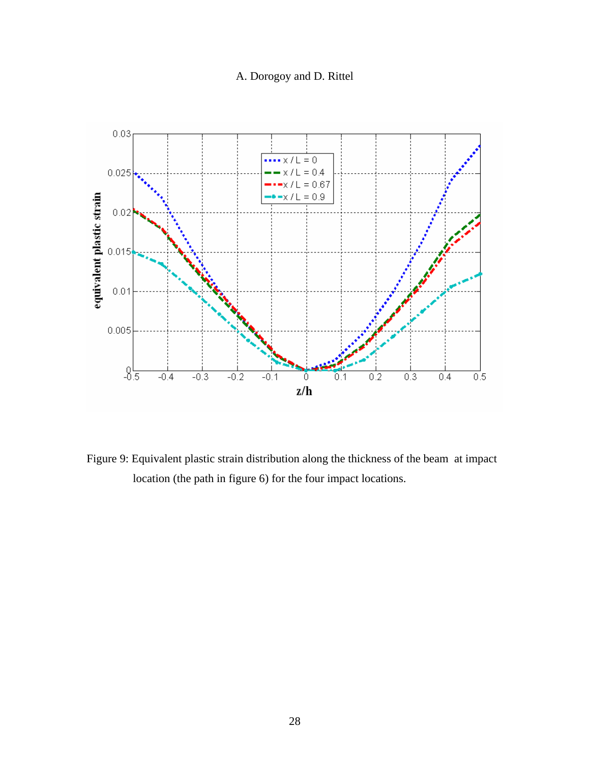

Figure 9: Equivalent plastic strain distribution along the thickness of the beam at impact location (the path in figure 6) for the four impact locations.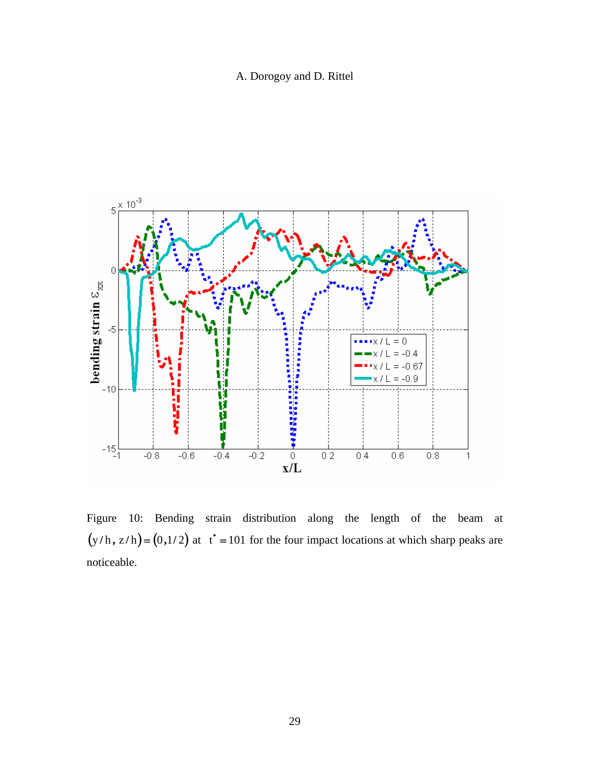A. Dorogoy and D. Rittel



Figure 10: Bending strain distribution along the length of the beam at  $(y/h, z/h) = (0, 1/2)$  at  $t^* = 101$  for the four impact locations at which sharp peaks are noticeable.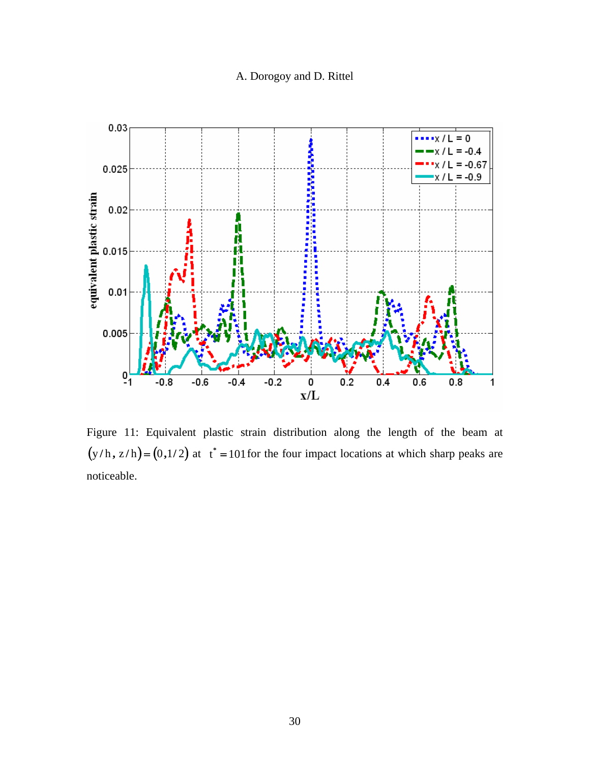

Figure 11: Equivalent plastic strain distribution along the length of the beam at  $(y/h, z/h) = (0, 1/2)$  at  $t^* = 101$  for the four impact locations at which sharp peaks are noticeable.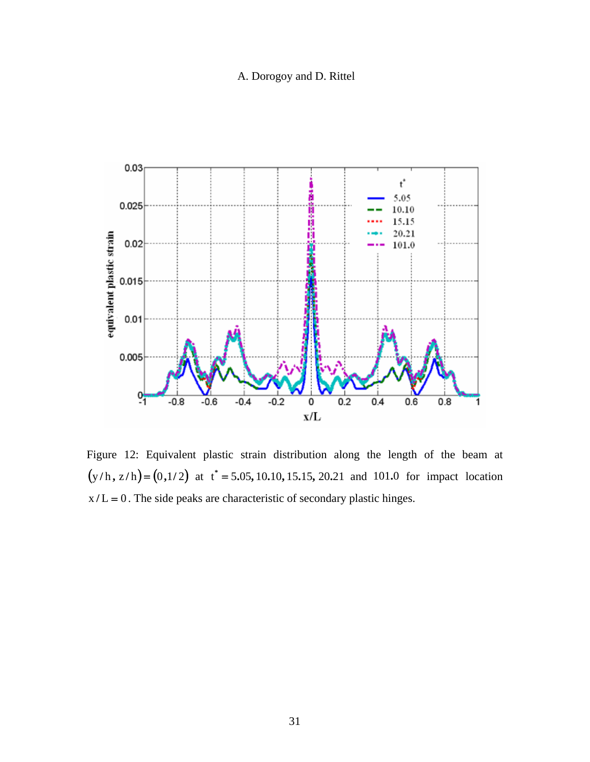

Figure 12: Equivalent plastic strain distribution along the length of the beam at  $(y/h, z/h) = (0, 1/2)$  at  $t^* = 5.05, 10.10, 15.15, 20.21$  and 101.0 for impact location  $x/L = 0$ . The side peaks are characteristic of secondary plastic hinges.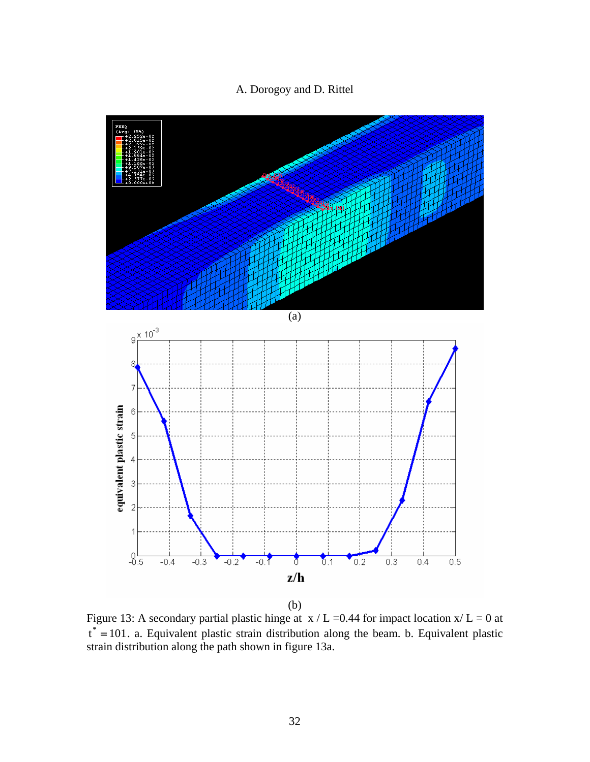



(b)

Figure 13: A secondary partial plastic hinge at  $x / L = 0.44$  for impact location  $x / L = 0$  at t<sup>\*</sup> = 101. a. Equivalent plastic strain distribution along the beam. b. Equivalent plastic strain distribution along the path shown in figure 13a.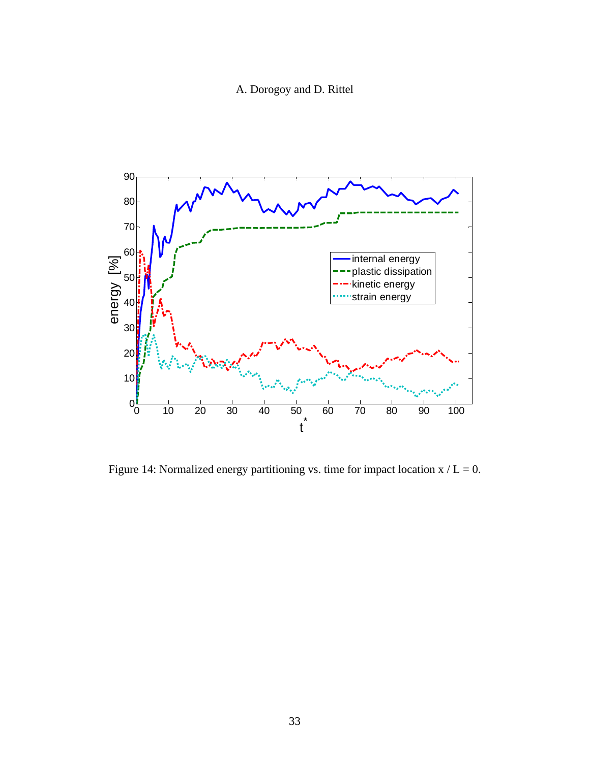A. Dorogoy and D. Rittel



Figure 14: Normalized energy partitioning vs. time for impact location  $x / L = 0$ .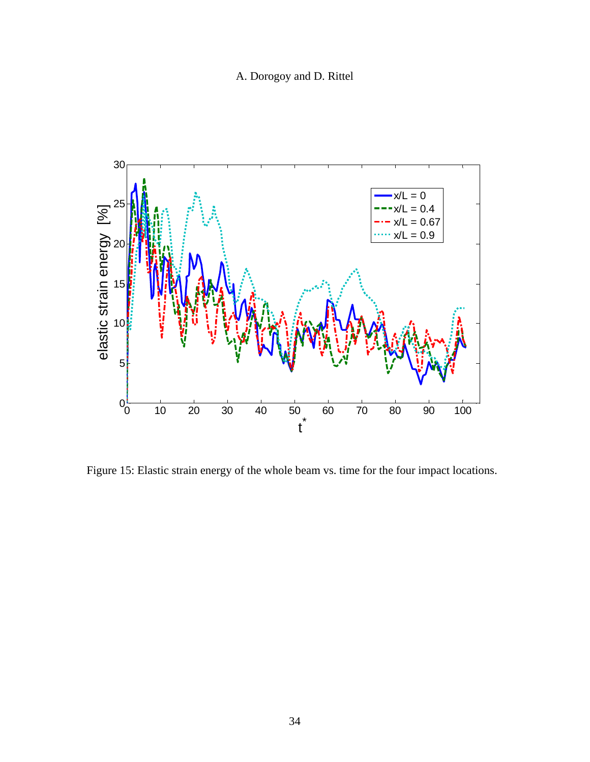A. Dorogoy and D. Rittel



Figure 15: Elastic strain energy of the whole beam vs. time for the four impact locations.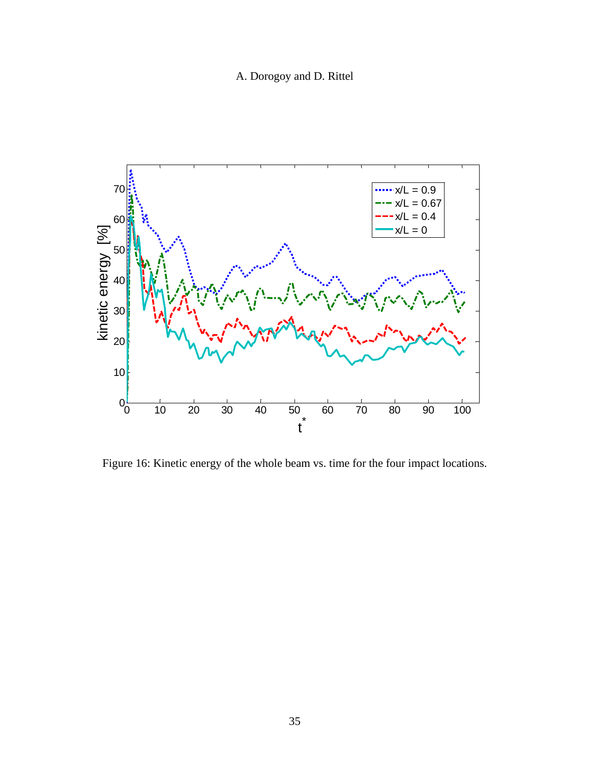A. Dorogoy and D. Rittel



Figure 16: Kinetic energy of the whole beam vs. time for the four impact locations.